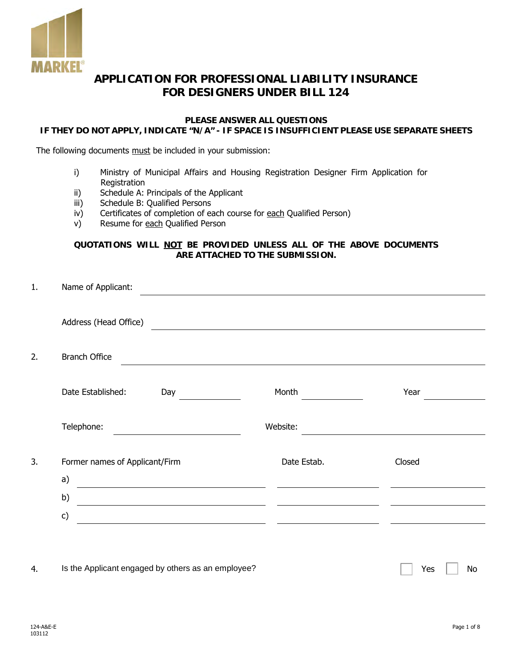

# **APPLICATION FOR PROFESSIONAL LIABILITY INSURANCE FOR DESIGNERS UNDER BILL 124**

## **PLEASE ANSWER ALL QUESTIONS**

## **IF THEY DO NOT APPLY, INDICATE "N/A" - IF SPACE IS INSUFFICIENT PLEASE USE SEPARATE SHEETS**

The following documents must be included in your submission:

- i) Ministry of Municipal Affairs and Housing Registration Designer Firm Application for **Registration**
- ii) Schedule A: Principals of the Applicant
- iii) Schedule B: Qualified Persons
- iv) Certificates of completion of each course for each Qualified Person)
- v) Resume for each Qualified Person

#### **QUOTATIONS WILL NOT BE PROVIDED UNLESS ALL OF THE ABOVE DOCUMENTS ARE ATTACHED TO THE SUBMISSION.**

| 1. | Name of Applicant:                                                            |             |        |
|----|-------------------------------------------------------------------------------|-------------|--------|
|    | Address (Head Office)                                                         |             |        |
|    |                                                                               |             |        |
| 2. | <b>Branch Office</b>                                                          |             |        |
|    | Date Established:<br>Day                                                      | Month       | Year   |
|    |                                                                               |             |        |
|    | Telephone:                                                                    | Website:    |        |
| 3. | Former names of Applicant/Firm                                                | Date Estab. | Closed |
|    | a)                                                                            |             |        |
|    | b)<br><u> 1989 - Johann Stein, mars an t-Amerikaansk kommunister (* 1908)</u> |             |        |
|    | c)                                                                            |             |        |
|    |                                                                               |             |        |

4. Is the Applicant engaged by others as an employee?  $\Box$  Yes  $\Box$  Yes No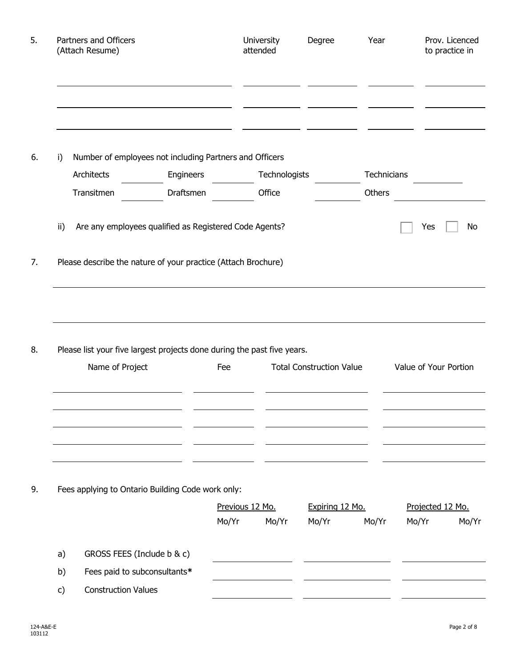|     | Partners and Officers<br>(Attach Resume)                                                                                |           |                          | University<br>attended | Degree                          | Year        |       | Prov. Licenced<br>to practice in |
|-----|-------------------------------------------------------------------------------------------------------------------------|-----------|--------------------------|------------------------|---------------------------------|-------------|-------|----------------------------------|
| i)  | Number of employees not including Partners and Officers                                                                 |           |                          |                        |                                 |             |       |                                  |
|     | Architects                                                                                                              | Engineers |                          | Technologists          |                                 | Technicians |       |                                  |
|     | Transitmen                                                                                                              | Draftsmen |                          | Office                 |                                 | Others      |       |                                  |
| ii) | Are any employees qualified as Registered Code Agents?<br>Please describe the nature of your practice (Attach Brochure) |           |                          |                        |                                 |             | Yes   | No                               |
|     |                                                                                                                         |           |                          |                        |                                 |             |       |                                  |
|     | Please list your five largest projects done during the past five years.                                                 |           |                          |                        |                                 |             |       |                                  |
|     | Name of Project                                                                                                         |           | Fee                      |                        | <b>Total Construction Value</b> |             |       | Value of Your Portion            |
|     |                                                                                                                         |           |                          |                        |                                 |             |       |                                  |
|     | Fees applying to Ontario Building Code work only:                                                                       |           |                          |                        |                                 |             |       |                                  |
|     |                                                                                                                         |           | Previous 12 Mo.<br>Mo/Yr | Mo/Yr                  | Expiring 12 Mo.<br>Mo/Yr        | Mo/Yr       | Mo/Yr | Projected 12 Mo.<br>Mo/Yr        |
| a)  | GROSS FEES (Include b & c)                                                                                              |           |                          |                        |                                 |             |       |                                  |
| b)  | Fees paid to subconsultants*                                                                                            |           |                          |                        |                                 |             |       |                                  |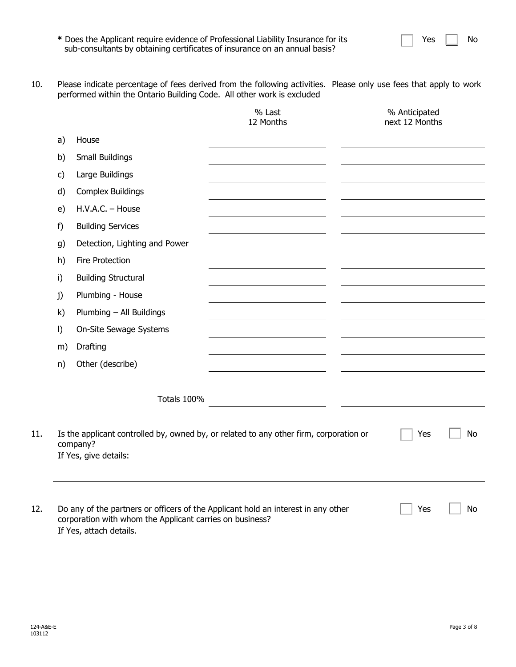|  | Yes. |  | No |
|--|------|--|----|
|--|------|--|----|

- **\*** Does the Applicant require evidence of Professional Liability Insurance for its sub-consultants by obtaining certificates of insurance on an annual basis?
- 10. Please indicate percentage of fees derived from the following activities. Please only use fees that apply to work performed within the Ontario Building Code. All other work is excluded

|         |                                                                                     | % Last<br>12 Months                                                                    | % Anticipated<br>next 12 Months |    |
|---------|-------------------------------------------------------------------------------------|----------------------------------------------------------------------------------------|---------------------------------|----|
| a)      | House                                                                               |                                                                                        |                                 |    |
| b)      | Small Buildings                                                                     |                                                                                        |                                 |    |
| c)      | Large Buildings                                                                     |                                                                                        |                                 |    |
| d)      | <b>Complex Buildings</b>                                                            |                                                                                        |                                 |    |
| e)      | H.V.A.C. - House                                                                    |                                                                                        |                                 |    |
| f)      | <b>Building Services</b>                                                            |                                                                                        |                                 |    |
| g)      | Detection, Lighting and Power                                                       |                                                                                        |                                 |    |
| h)      | Fire Protection                                                                     |                                                                                        |                                 |    |
| i)      | <b>Building Structural</b>                                                          |                                                                                        |                                 |    |
| j)      | Plumbing - House                                                                    |                                                                                        |                                 |    |
| k)      | Plumbing - All Buildings                                                            |                                                                                        |                                 |    |
| $\vert$ | On-Site Sewage Systems                                                              |                                                                                        |                                 |    |
| m)      | Drafting                                                                            |                                                                                        |                                 |    |
| n)      | Other (describe)                                                                    |                                                                                        |                                 |    |
|         | Totals 100%                                                                         |                                                                                        |                                 |    |
|         | company?<br>If Yes, give details:                                                   | Is the applicant controlled by, owned by, or related to any other firm, corporation or | Yes                             | No |
|         | corporation with whom the Applicant carries on business?<br>If Yes, attach details. | Do any of the partners or officers of the Applicant hold an interest in any other      | Yes                             | No |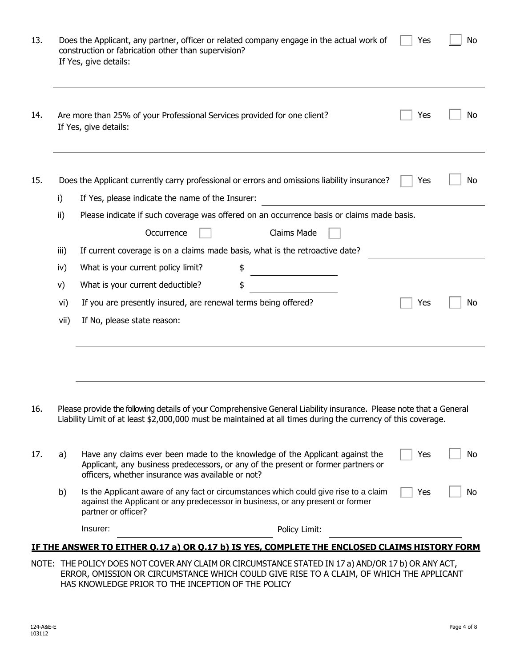| 13. |      | Does the Applicant, any partner, officer or related company engage in the actual work of<br>No<br>Yes<br>construction or fabrication other than supervision?<br>If Yes, give details:                                               |
|-----|------|-------------------------------------------------------------------------------------------------------------------------------------------------------------------------------------------------------------------------------------|
| 14. |      | Are more than 25% of your Professional Services provided for one client?<br>Yes<br>No<br>If Yes, give details:                                                                                                                      |
| 15. |      | Does the Applicant currently carry professional or errors and omissions liability insurance?<br>Yes<br>No                                                                                                                           |
|     | i)   | If Yes, please indicate the name of the Insurer:                                                                                                                                                                                    |
|     | ii)  | Please indicate if such coverage was offered on an occurrence basis or claims made basis.                                                                                                                                           |
|     |      | Claims Made<br>Occurrence                                                                                                                                                                                                           |
|     | iii) | If current coverage is on a claims made basis, what is the retroactive date?                                                                                                                                                        |
|     | iv)  | What is your current policy limit?                                                                                                                                                                                                  |
|     | V)   | What is your current deductible?<br>\$                                                                                                                                                                                              |
|     | vi)  | If you are presently insured, are renewal terms being offered?<br>Yes<br>No                                                                                                                                                         |
|     | vii) | If No, please state reason:                                                                                                                                                                                                         |
|     |      |                                                                                                                                                                                                                                     |
| 16. |      | Please provide the following details of your Comprehensive General Liability insurance. Please note that a General<br>Liability Limit of at least \$2,000,000 must be maintained at all times during the currency of this coverage. |
| 17. | a)   | Have any claims ever been made to the knowledge of the Applicant against the<br>Yes<br>No<br>Applicant, any business predecessors, or any of the present or former partners or<br>officers, whether insurance was available or not? |
|     | b)   | Is the Applicant aware of any fact or circumstances which could give rise to a claim<br>Yes<br>No<br>against the Applicant or any predecessor in business, or any present or former<br>partner or officer?                          |
|     |      | Insurer:<br>Policy Limit:                                                                                                                                                                                                           |
|     |      | <u>IF THE ANSWER TO EITHER 0.17 a) OR 0.17 b) IS YES, COMPLETE THE ENCLOSED CLAIMS HISTORY FORM</u>                                                                                                                                 |
|     |      | NOTE: THE POLICY DOES NOT COVER ANY CLAIM OR CIRCUMSTANCE STATED IN 17 a) AND/OR 17 b) OR ANY ACT,                                                                                                                                  |

ERROR, OMISSION OR CIRCUMSTANCE WHICH COULD GIVE RISE TO A CLAIM, OF WHICH THE APPLICANT HAS KNOWLEDGE PRIOR TO THE INCEPTION OF THE POLICY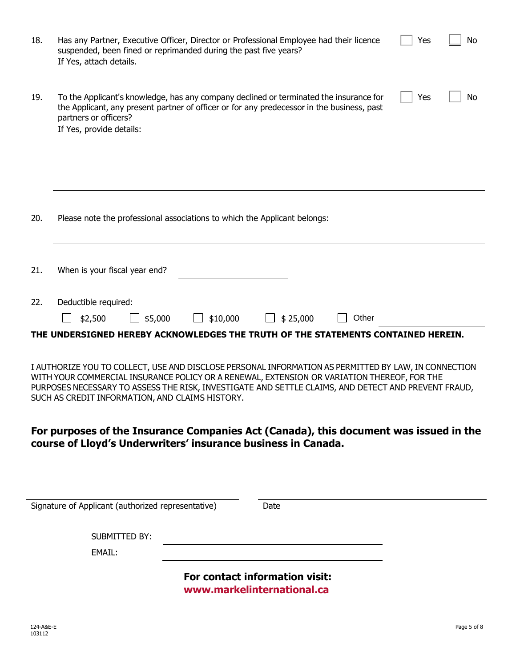| 18. | Has any Partner, Executive Officer, Director or Professional Employee had their licence<br>Yes<br>No<br>suspended, been fined or reprimanded during the past five years?<br>If Yes, attach details.                                                                                                                                                           |
|-----|---------------------------------------------------------------------------------------------------------------------------------------------------------------------------------------------------------------------------------------------------------------------------------------------------------------------------------------------------------------|
| 19. | To the Applicant's knowledge, has any company declined or terminated the insurance for<br>Yes<br>No<br>the Applicant, any present partner of officer or for any predecessor in the business, past<br>partners or officers?<br>If Yes, provide details:                                                                                                        |
|     |                                                                                                                                                                                                                                                                                                                                                               |
| 20. | Please note the professional associations to which the Applicant belongs:                                                                                                                                                                                                                                                                                     |
| 21. | When is your fiscal year end?                                                                                                                                                                                                                                                                                                                                 |
| 22. | Deductible required:                                                                                                                                                                                                                                                                                                                                          |
|     | \$25,000<br>Other<br>\$2,500<br>\$5,000<br>\$10,000<br>THE UNDERSIGNED HEREBY ACKNOWLEDGES THE TRUTH OF THE STATEMENTS CONTAINED HEREIN.                                                                                                                                                                                                                      |
|     | I AUTHORIZE YOU TO COLLECT, USE AND DISCLOSE PERSONAL INFORMATION AS PERMITTED BY LAW, IN CONNECTION<br>WITH YOUR COMMERCIAL INSURANCE POLICY OR A RENEWAL, EXTENSION OR VARIATION THEREOF, FOR THE<br>PURPOSES NECESSARY TO ASSESS THE RISK, INVESTIGATE AND SETTLE CLAIMS, AND DETECT AND PREVENT FRAUD,<br>SUCH AS CREDIT INFORMATION, AND CLAIMS HISTORY. |
|     | For purposes of the Insurance Companies Act (Canada), this document was issued in the<br>course of Lloyd's Underwriters' insurance business in Canada.                                                                                                                                                                                                        |
|     |                                                                                                                                                                                                                                                                                                                                                               |
|     | Signature of Applicant (authorized representative)<br>Date                                                                                                                                                                                                                                                                                                    |
|     | <b>SUBMITTED BY:</b>                                                                                                                                                                                                                                                                                                                                          |
|     | EMAIL:                                                                                                                                                                                                                                                                                                                                                        |
|     | For contact information visit:                                                                                                                                                                                                                                                                                                                                |

**<www.markelinternational.ca>**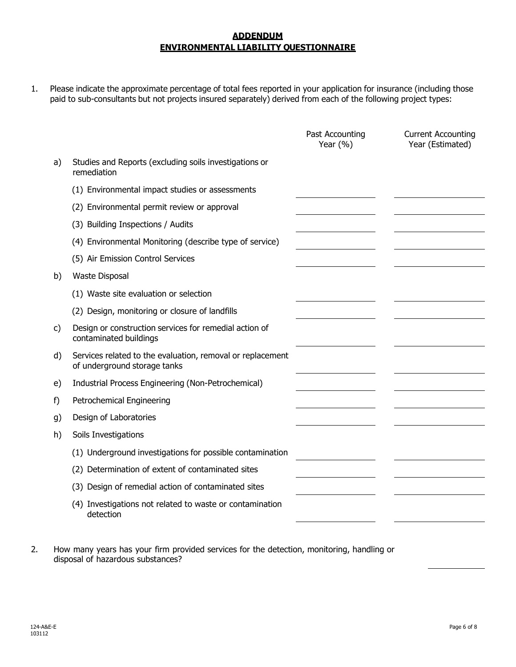## **ADDENDUM ENVIRONMENTAL LIABILITY QUESTIONNAIRE**

1. Please indicate the approximate percentage of total fees reported in your application for insurance (including those paid to sub-consultants but not projects insured separately) derived from each of the following project types:

|    |                                                                                            | Past Accounting<br>Year $(% )$ | <b>Current Accounting</b><br>Year (Estimated) |
|----|--------------------------------------------------------------------------------------------|--------------------------------|-----------------------------------------------|
| a) | Studies and Reports (excluding soils investigations or<br>remediation                      |                                |                                               |
|    | (1) Environmental impact studies or assessments                                            |                                |                                               |
|    | (2) Environmental permit review or approval                                                |                                |                                               |
|    | (3) Building Inspections / Audits                                                          |                                |                                               |
|    | (4) Environmental Monitoring (describe type of service)                                    |                                |                                               |
|    | (5) Air Emission Control Services                                                          |                                |                                               |
| b) | <b>Waste Disposal</b>                                                                      |                                |                                               |
|    | (1) Waste site evaluation or selection                                                     |                                |                                               |
|    | (2) Design, monitoring or closure of landfills                                             |                                |                                               |
| C) | Design or construction services for remedial action of<br>contaminated buildings           |                                |                                               |
| d) | Services related to the evaluation, removal or replacement<br>of underground storage tanks |                                |                                               |
| e) | Industrial Process Engineering (Non-Petrochemical)                                         |                                |                                               |
| f) | Petrochemical Engineering                                                                  |                                |                                               |
| g) | Design of Laboratories                                                                     |                                |                                               |
| h) | Soils Investigations                                                                       |                                |                                               |
|    | (1) Underground investigations for possible contamination                                  |                                |                                               |
|    | (2) Determination of extent of contaminated sites                                          |                                |                                               |
|    | (3) Design of remedial action of contaminated sites                                        |                                |                                               |
|    | (4) Investigations not related to waste or contamination<br>detection                      |                                |                                               |

2. How many years has your firm provided services for the detection, monitoring, handling or disposal of hazardous substances?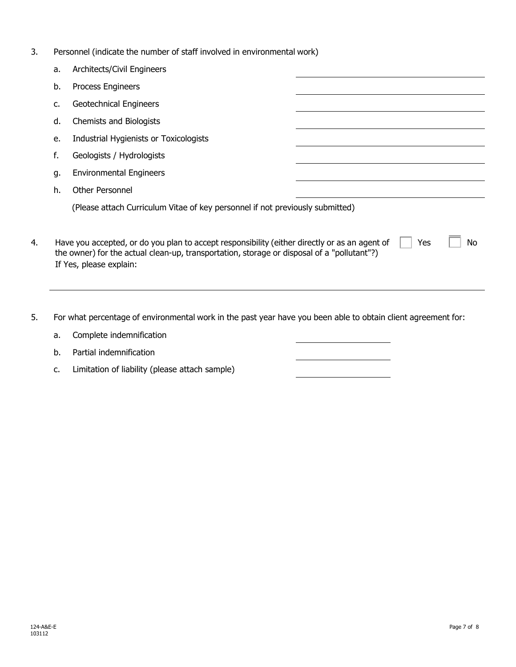3. Personnel (indicate the number of staff involved in environmental work)

|    | a. | Architects/Civil Engineers                                                                                                                                                                                                          |
|----|----|-------------------------------------------------------------------------------------------------------------------------------------------------------------------------------------------------------------------------------------|
|    | b. | Process Engineers                                                                                                                                                                                                                   |
|    | c. | <b>Geotechnical Engineers</b>                                                                                                                                                                                                       |
|    | d. | Chemists and Biologists                                                                                                                                                                                                             |
|    | e. | Industrial Hygienists or Toxicologists                                                                                                                                                                                              |
|    | f. | Geologists / Hydrologists                                                                                                                                                                                                           |
|    | g. | <b>Environmental Engineers</b>                                                                                                                                                                                                      |
|    | h. | Other Personnel                                                                                                                                                                                                                     |
|    |    | (Please attach Curriculum Vitae of key personnel if not previously submitted)                                                                                                                                                       |
| 4. |    | Have you accepted, or do you plan to accept responsibility (either directly or as an agent of<br>Yes<br>No<br>the owner) for the actual clean-up, transportation, storage or disposal of a "pollutant"?)<br>If Yes, please explain: |

5. For what percentage of environmental work in the past year have you been able to obtain client agreement for:

| a. Complete indemnification |
|-----------------------------|
| b. Partial indemnification  |

c. Limitation of liability (please attach sample)